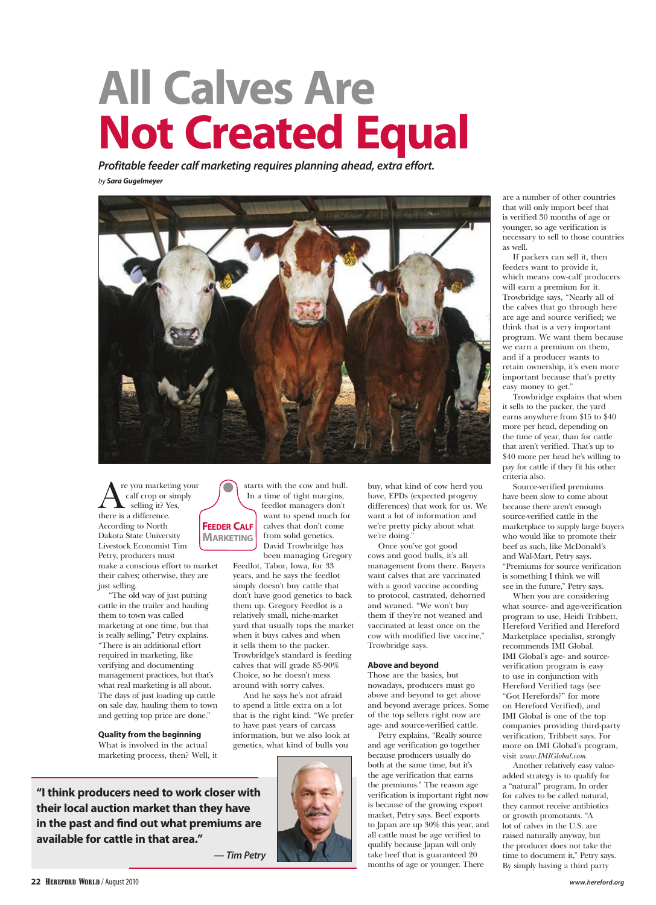## **All Calves Are Not Created Equal**

*Profitable feeder calf marketing requires planning ahead, extra effort. by Sara Gugelmeyer*



starts with the cow and bull. In a time of tight margins, feedlot managers don't want to spend much for calves that don't come from solid genetics. David Trowbridge has been managing Gregory

Feedlot, Tabor, Iowa, for 33 years, and he says the feedlot simply doesn't buy cattle that don't have good genetics to back them up. Gregory Feedlot is a relatively small, niche-market yard that usually tops the market when it buys calves and when it sells them to the packer. Trowbridge's standard is feeding calves that will grade 85-90% Choice, so he doesn't mess around with sorry calves.

And he says he's not afraid to spend a little extra on a lot that is the right kind. "We prefer to have past years of carcass information, but we also look at

 $\sum_{\text{cell} \text{ copy}}^{\text{re you marketing your}}$ <br>selling it? Yes, calf crop or simply selling it? Yes, there is a difference. According to North Dakota State University Livestock Economist Tim Petry, producers must make a conscious effort to market their calves; otherwise, they are just selling. **Feeder Calf Marketing**

"The old way of just putting cattle in the trailer and hauling them to town was called marketing at one time, but that is really selling," Petry explains. "There is an additional effort required in marketing, like verifying and documenting management practices, but that's what real marketing is all about. The days of just loading up cattle on sale day, hauling them to town and getting top price are done."

**Quality from the beginning** What is involved in the actual marketing process, then? Well, it

**"I think producers need to work closer with their local auction market than they have in the past and find out what premiums are available for cattle in that area."**



buy, what kind of cow herd you have, EPDs (expected progeny differences) that work for us. We want a lot of information and we're pretty picky about what we're doing.

Once you've got good cows and good bulls, it's all management from there. Buyers want calves that are vaccinated with a good vaccine according to protocol, castrated, dehorned and weaned. "We won't buy them if they're not weaned and vaccinated at least once on the cow with modified live vaccine," Trowbridge says.

## **Above and beyond**

Those are the basics, but nowadays, producers must go above and beyond to get above and beyond average prices. Some of the top sellers right now are age- and source-verified cattle.

Petry explains, "Really source and age verification go together because producers usually do both at the same time, but it's the age verification that earns the premiums." The reason age verification is important right now is because of the growing export market, Petry says. Beef exports to Japan are up 30% this year, and all cattle must be age verified to qualify because Japan will only take beef that is guaranteed 20 months of age or younger. There

are a number of other countries that will only import beef that is verified 30 months of age or younger, so age verification is necessary to sell to those countries as well.

If packers can sell it, then feeders want to provide it, which means cow-calf producers will earn a premium for it. Trowbridge says, "Nearly all of the calves that go through here are age and source verified; we think that is a very important program. We want them because we earn a premium on them, and if a producer wants to retain ownership, it's even more important because that's pretty easy money to get."

Trowbridge explains that when it sells to the packer, the yard earns anywhere from \$15 to \$40 more per head, depending on the time of year, than for cattle that aren't verified. That's up to \$40 more per head he's willing to pay for cattle if they fit his other criteria also.

Source-verified premiums have been slow to come about because there aren't enough source-verified cattle in the marketplace to supply large buyers who would like to promote their beef as such, like McDonald's and Wal-Mart, Petry says. "Premiums for source verification is something I think we will see in the future," Petry says.

When you are considering what source- and age-verification program to use, Heidi Tribbett, Hereford Verified and Hereford Marketplace specialist, strongly recommends IMI Global. IMI Global's age- and sourceverification program is easy to use in conjunction with Hereford Verified tags (see "Got Herefords?" for more on Hereford Verified), and IMI Global is one of the top companies providing third-party verification, Tribbett says. For more on IMI Global's program, visit *www.IMIGlobal.com.*

Another relatively easy valueadded strategy is to qualify for a "natural" program. In order for calves to be called natural, they cannot receive antibiotics or growth promotants. "A lot of calves in the U.S. are raised naturally anyway, but the producer does not take the time to document it," Petry says. By simply having a third party

*— Tim Petry*